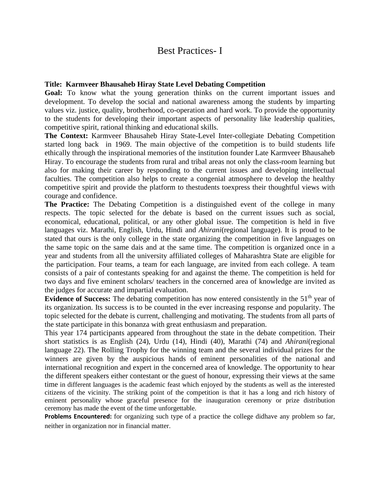## Best Practices- I

## **Title: Karmveer Bhausaheb Hiray State Level Debating Competition**

**Goal:** To know what the young generation thinks on the current important issues and development. To develop the social and national awareness among the students by imparting values viz. justice, quality, brotherhood, co-operation and hard work. To provide the opportunity to the students for developing their important aspects of personality like leadership qualities, competitive spirit, rational thinking and educational skills.

**The Context:** Karmveer Bhausaheb Hiray State-Level Inter-collegiate Debating Competition started long back in 1969. The main objective of the competition is to build students life ethically through the inspirational memories of the institution founder Late Karmveer Bhausaheb Hiray. To encourage the students from rural and tribal areas not only the class-room learning but also for making their career by responding to the current issues and developing intellectual faculties. The competition also helps to create a congenial atmosphere to develop the healthy competitive spirit and provide the platform to thestudents toexpress their thoughtful views with courage and confidence.

**The Practice:** The Debating Competition is a distinguished event of the college in many respects. The topic selected for the debate is based on the current issues such as social, economical, educational, political, or any other global issue. The competition is held in five languages viz. Marathi, English, Urdu, Hindi and *Ahirani*(regional language). It is proud to be stated that ours is the only college in the state organizing the competition in five languages on the same topic on the same dais and at the same time. The competition is organized once in a year and students from all the university affiliated colleges of Maharashtra State are eligible for the participation. Four teams, a team for each language, are invited from each college. A team consists of a pair of contestants speaking for and against the theme. The competition is held for two days and five eminent scholars/ teachers in the concerned area of knowledge are invited as the judges for accurate and impartial evaluation.

**Evidence of Success:** The debating competition has now entered consistently in the 51<sup>th</sup> year of its organization. Its success is to be counted in the ever increasing response and popularity. The topic selected for the debate is current, challenging and motivating. The students from all parts of the state participate in this bonanza with great enthusiasm and preparation.

This year 174 participants appeared from throughout the state in the debate competition. Their short statistics is as English (24), Urdu (14), Hindi (40), Marathi (74) and *Ahirani*(regional language 22). The Rolling Trophy for the winning team and the several individual prizes for the winners are given by the auspicious hands of eminent personalities of the national and international recognition and expert in the concerned area of knowledge. The opportunity to hear the different speakers either contestant or the guest of honour, expressing their views at the same time in different languages is the academic feast which enjoyed by the students as well as the interested citizens of the vicinity. The striking point of the competition is that it has a long and rich history of eminent personality whose graceful presence for the inauguration ceremony or prize distribution ceremony has made the event of the time unforgettable.

**Problems Encountered:** for organizing such type of a practice the college didhave any problem so far, neither in organization nor in financial matter.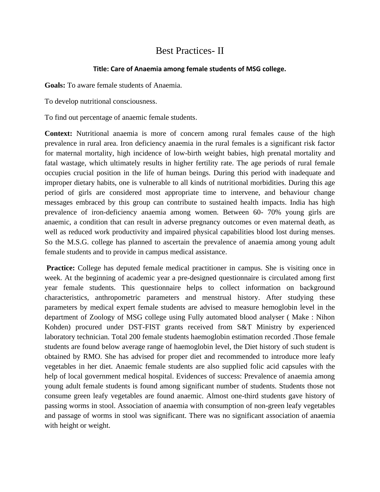## Best Practices- II

## **Title: Care of Anaemia among female students of MSG college.**

**Goals:** To aware female students of Anaemia.

To develop nutritional consciousness.

To find out percentage of anaemic female students.

**Context:** Nutritional anaemia is more of concern among rural females cause of the high prevalence in rural area. Iron deficiency anaemia in the rural females is a significant risk factor for maternal mortality, high incidence of low-birth weight babies, high prenatal mortality and fatal wastage, which ultimately results in higher fertility rate. The age periods of rural female occupies crucial position in the life of human beings. During this period with inadequate and improper dietary habits, one is vulnerable to all kinds of nutritional morbidities. During this age period of girls are considered most appropriate time to intervene, and behaviour change messages embraced by this group can contribute to sustained health impacts. India has high prevalence of iron-deficiency anaemia among women. Between 60- 70% young girls are anaemic, a condition that can result in adverse pregnancy outcomes or even maternal death, as well as reduced work productivity and impaired physical capabilities blood lost during menses. So the M.S.G. college has planned to ascertain the prevalence of anaemia among young adult female students and to provide in campus medical assistance.

**Practice:** College has deputed female medical practitioner in campus. She is visiting once in week. At the beginning of academic year a pre-designed questionnaire is circulated among first year female students. This questionnaire helps to collect information on background characteristics, anthropometric parameters and menstrual history. After studying these parameters by medical expert female students are advised to measure hemoglobin level in the department of Zoology of MSG college using Fully automated blood analyser ( Make : Nihon Kohden) procured under DST-FIST grants received from S&T Ministry by experienced laboratory technician. Total 200 female students haemoglobin estimation recorded .Those female students are found below average range of haemoglobin level, the Diet history of such student is obtained by RMO. She has advised for proper diet and recommended to introduce more leafy vegetables in her diet. Anaemic female students are also supplied folic acid capsules with the help of local government medical hospital. Evidences of success: Prevalence of anaemia among young adult female students is found among significant number of students. Students those not consume green leafy vegetables are found anaemic. Almost one-third students gave history of passing worms in stool. Association of anaemia with consumption of non-green leafy vegetables and passage of worms in stool was significant. There was no significant association of anaemia with height or weight.